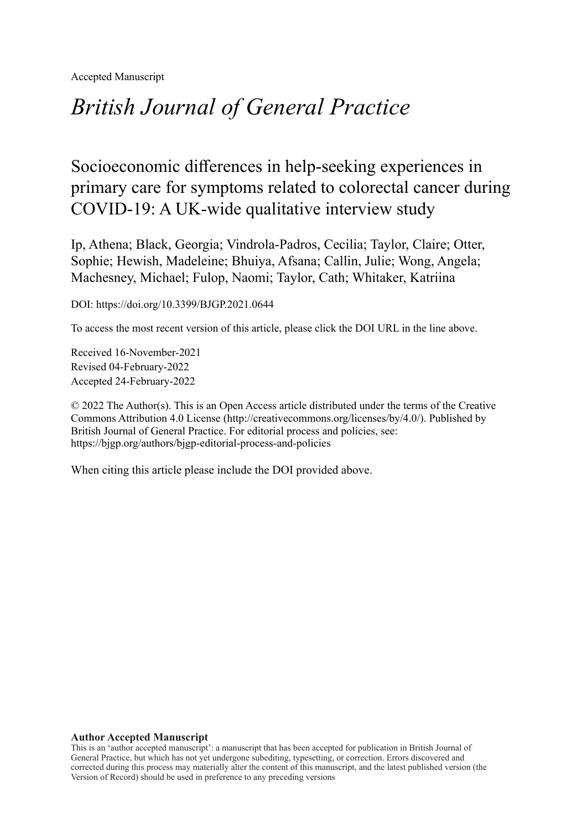Accepted Manuscript

# *British Journal of General Practice*

## Socioeconomic differences in help-seeking experiences in primary care for symptoms related to colorectal cancer during COVID-19: A UK-wide qualitative interview study

Ip, Athena; Black, Georgia; Vindrola-Padros, Cecilia; Taylor, Claire; Otter, Sophie; Hewish, Madeleine; Bhuiya, Afsana; Callin, Julie; Wong, Angela; Machesney, Michael; Fulop, Naomi; Taylor, Cath; Whitaker, Katriina

DOI: https://doi.org/10.3399/BJGP.2021.0644

To access the most recent version of this article, please click the DOI URL in the line above.

Received 16-November-2021 Revised 04-February-2022 Accepted 24-February-2022

© 2022 The Author(s). This is an Open Access article distributed under the terms of the Creative Commons Attribution 4.0 License [\(http://creativecommons.org/licenses/by/4.0/](http://creativecommons.org/licenses/by/4.0/)). Published by British Journal of General Practice. For editorial process and policies, see: <https://bjgp.org/authors/bjgp-editorial-process-and-policies>

When citing this article please include the DOI provided above.

#### **Author Accepted Manuscript**

This is an 'author accepted manuscript': a manuscript that has been accepted for publication in British Journal of General Practice, but which has not yet undergone subediting, typesetting, or correction. Errors discovered and corrected during this process may materially alter the content of this manuscript, and the latest published version (the Version of Record) should be used in preference to any preceding versions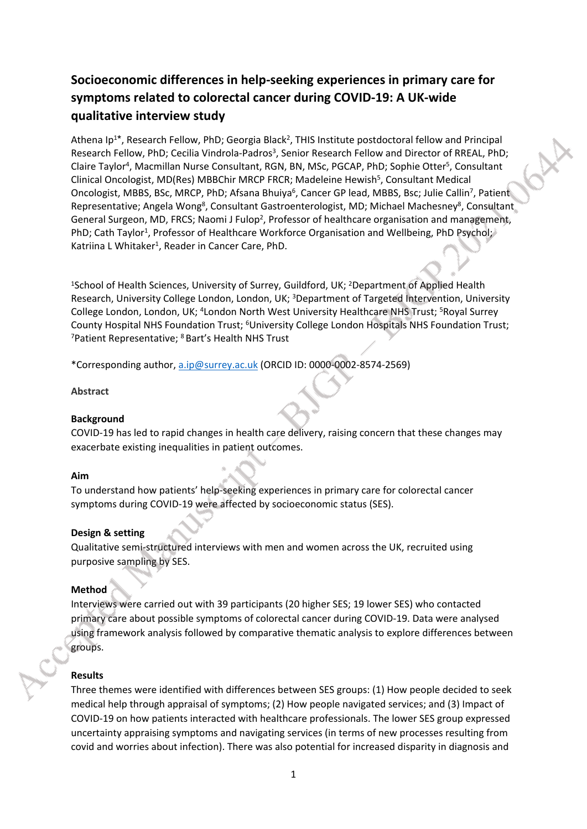### **Socioeconomic differences in help-seeking experiences in primary care for symptoms related to colorectal cancer during COVID-19: A UK-wide qualitative interview study**

Athena Ip<sup>1\*</sup>, Research Fellow, PhD; Georgia Black<sup>2</sup>, THIS Institute postdoctoral fellow and Principal Research Fellow, PhD; Cecilia Vindrola-Padros<sup>3</sup>, Senior Research Fellow and Director of RREAL, PhD; Claire Taylor<sup>4</sup>, Macmillan Nurse Consultant, RGN, BN, MSc, PGCAP, PhD; Sophie Otter<sup>5</sup>, Consultant Clinical Oncologist, MD(Res) MBBChir MRCP FRCR; Madeleine Hewish<sup>5</sup>, Consultant Medical Oncologist, MBBS, BSc, MRCP, PhD; Afsana Bhuiya<sup>6</sup>, Cancer GP lead, MBBS, Bsc; Julie Callin<sup>7</sup>, Patient Representative; Angela Wong<sup>8</sup>, Consultant Gastroenterologist, MD; Michael Machesney<sup>8</sup>, Consultant General Surgeon, MD, FRCS; Naomi J Fulop<sup>2</sup>, Professor of healthcare organisation and management, PhD; Cath Taylor<sup>1</sup>, Professor of Healthcare Workforce Organisation and Wellbeing, PhD Psychol; Katriina L Whitaker<sup>1</sup>, Reader in Cancer Care, PhD.

<sup>1</sup>School of Health Sciences, University of Surrey, Guildford, UK; <sup>2</sup>Department of Applied Health Research, University College London, London, UK; <sup>3</sup>Department of Targeted Intervention, University College London, London, UK; <sup>4</sup>London North West University Healthcare NHS Trust; <sup>5</sup>Royal Surrey County Hospital NHS Foundation Trust; <sup>6</sup>University College London Hospitals NHS Foundation Trust; <sup>7</sup>Patient Representative; <sup>8</sup> Bart's Health NHS Trust

\*Corresponding author, [a.ip@surrey.ac.uk](mailto:a.ip@surrey.ac.uk) (ORCID ID: 0000-0002-8574-2569)

#### **Abstract**

#### **Background**

COVID-19 has led to rapid changes in health care delivery, raising concern that these changes may exacerbate existing inequalities in patient outcomes.

#### **Aim**

To understand how patients' help-seeking experiences in primary care for colorectal cancer symptoms during COVID-19 were affected by socioeconomic status (SES).

#### **Design & setting**

Qualitative semi-structured interviews with men and women across the UK, recruited using purposive sampling by SES.

#### **Method**

Interviews were carried out with 39 participants (20 higher SES; 19 lower SES) who contacted primary care about possible symptoms of colorectal cancer during COVID-19. Data were analysed using framework analysis followed by comparative thematic analysis to explore differences between groups.

#### **Results**

Three themes were identified with differences between SES groups: (1) How people decided to seek medical help through appraisal of symptoms; (2) How people navigated services; and (3) Impact of COVID-19 on how patients interacted with healthcare professionals. The lower SES group expressed uncertainty appraising symptoms and navigating services (in terms of new processes resulting from covid and worries about infection). There was also potential for increased disparity in diagnosis and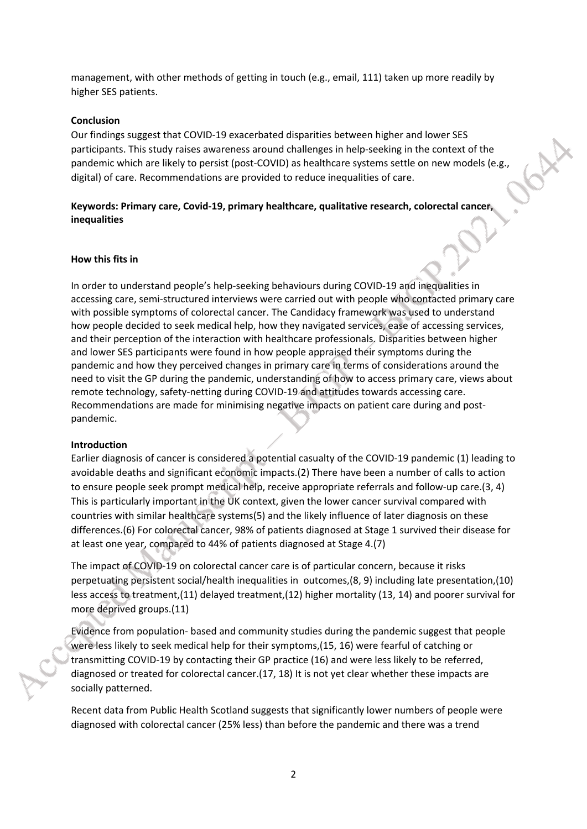management, with other methods of getting in touch (e.g., email, 111) taken up more readily by higher SES patients.

#### **Conclusion**

Our findings suggest that COVID-19 exacerbated disparities between higher and lower SES participants. This study raises awareness around challenges in help-seeking in the context of the pandemic which are likely to persist (post-COVID) as healthcare systems settle on new models (e.g., digital) of care. Recommendations are provided to reduce inequalities of care.

#### **Keywords: Primary care, Covid-19, primary healthcare, qualitative research, colorectal cancer, inequalities**

#### **How this fits in**

In order to understand people's help-seeking behaviours during COVID-19 and inequalities in accessing care, semi-structured interviews were carried out with people who contacted primary care with possible symptoms of colorectal cancer. The Candidacy framework was used to understand how people decided to seek medical help, how they navigated services, ease of accessing services, and their perception of the interaction with healthcare professionals. Disparities between higher and lower SES participants were found in how people appraised their symptoms during the pandemic and how they perceived changes in primary care in terms of considerations around the need to visit the GP during the pandemic, understanding of how to access primary care, views about remote technology, safety-netting during COVID-19 and attitudes towards accessing care. Recommendations are made for minimising negative impacts on patient care during and postpandemic.

#### **Introduction**

Earlier diagnosis of cancer is considered a potential casualty of the COVID-19 pandemic (1) leading to avoidable deaths and significant economic impacts.(2) There have been a number of calls to action to ensure people seek prompt medical help, receive appropriate referrals and follow-up care.(3, 4) This is particularly important in the UK context, given the lower cancer survival compared with countries with similar healthcare systems(5) and the likely influence of later diagnosis on these differences.(6) For colorectal cancer, 98% of patients diagnosed at Stage 1 survived their disease for at least one year, compared to 44% of patients diagnosed at Stage 4.(7)

The impact of COVID-19 on colorectal cancer care is of particular concern, because it risks perpetuating persistent social/health inequalities in outcomes,(8, 9) including late presentation,(10) less access to treatment,(11) delayed treatment,(12) higher mortality (13, 14) and poorer survival for more deprived groups.(11)

Evidence from population- based and community studies during the pandemic suggest that people were less likely to seek medical help for their symptoms,(15, 16) were fearful of catching or transmitting COVID-19 by contacting their GP practice (16) and were less likely to be referred, diagnosed or treated for colorectal cancer.(17, 18) It is not yet clear whether these impacts are socially patterned.

Recent data from Public Health Scotland suggests that significantly lower numbers of people were diagnosed with colorectal cancer (25% less) than before the pandemic and there was a trend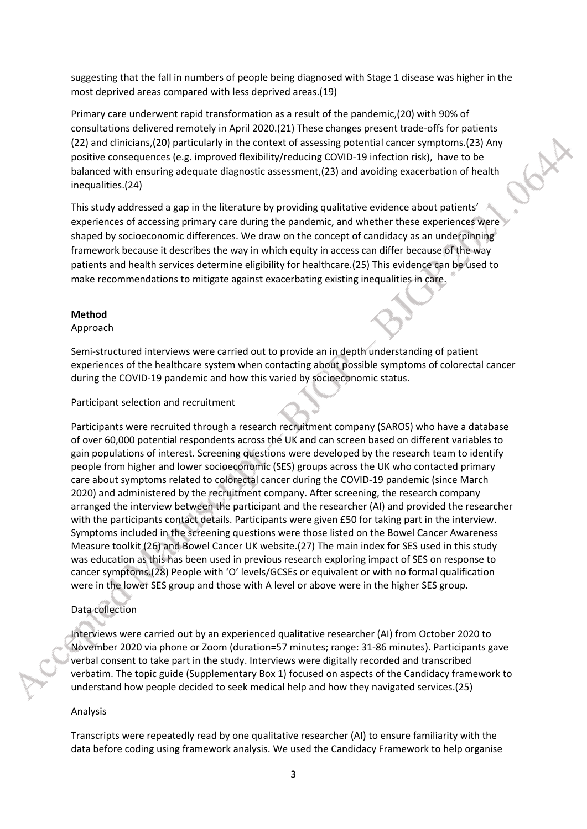suggesting that the fall in numbers of people being diagnosed with Stage 1 disease was higher in the most deprived areas compared with less deprived areas.(19)

Primary care underwent rapid transformation as a result of the pandemic,(20) with 90% of consultations delivered remotely in April 2020.(21) These changes present trade-offs for patients (22) and clinicians,(20) particularly in the context of assessing potential cancer symptoms.(23) Any positive consequences (e.g. improved flexibility/reducing COVID-19 infection risk), have to be balanced with ensuring adequate diagnostic assessment,(23) and avoiding exacerbation of health inequalities.(24)

This study addressed a gap in the literature by providing qualitative evidence about patients' experiences of accessing primary care during the pandemic, and whether these experiences were shaped by socioeconomic differences. We draw on the concept of candidacy as an underpinning framework because it describes the way in which equity in access can differ because of the way patients and health services determine eligibility for healthcare.(25) This evidence can be used to make recommendations to mitigate against exacerbating existing inequalities in care.

#### **Method**

#### Approach

Semi-structured interviews were carried out to provide an in depth understanding of patient experiences of the healthcare system when contacting about possible symptoms of colorectal cancer during the COVID-19 pandemic and how this varied by socioeconomic status.

Participant selection and recruitment

Participants were recruited through a research recruitment company (SAROS) who have a database of over 60,000 potential respondents across the UK and can screen based on different variables to gain populations of interest. Screening questions were developed by the research team to identify people from higher and lower socioeconomic (SES) groups across the UK who contacted primary care about symptoms related to colorectal cancer during the COVID-19 pandemic (since March 2020) and administered by the recruitment company. After screening, the research company arranged the interview between the participant and the researcher (AI) and provided the researcher with the participants contact details. Participants were given £50 for taking part in the interview. Symptoms included in the screening questions were those listed on the [Bowel Cancer Awareness](https://eur02.safelinks.protection.outlook.com/?url=https%3A%2F%2Fwww.cancerresearchuk.org%2Fsites%2Fdefault%2Ffiles%2Fhealth_professional_bowel_cam_toolkit_version_2.1_09.02.11.pdf&data=02%7C01%7Ca.ip%40surrey.ac.uk%7Cca119bee0de74a0ac7e508d865576463%7C6b902693107440aa9e21d89446a2ebb5%7C0%7C1%7C637370773319088374&sdata=NzZWxYICUNk%2Fxps6w9Kv8xGF2pOUVZnL6hTgEOETZ1w%3D&reserved=0)  [Measure](https://eur02.safelinks.protection.outlook.com/?url=https%3A%2F%2Fwww.cancerresearchuk.org%2Fsites%2Fdefault%2Ffiles%2Fhealth_professional_bowel_cam_toolkit_version_2.1_09.02.11.pdf&data=02%7C01%7Ca.ip%40surrey.ac.uk%7Cca119bee0de74a0ac7e508d865576463%7C6b902693107440aa9e21d89446a2ebb5%7C0%7C1%7C637370773319088374&sdata=NzZWxYICUNk%2Fxps6w9Kv8xGF2pOUVZnL6hTgEOETZ1w%3D&reserved=0) toolkit (26) and Bowel Cancer UK website.(27) The main index for SES used in this study was education as this has been used in previous research exploring impact of SES on response to cancer symptoms.(28) People with 'O' levels/GCSEs or equivalent or with no formal qualification were in the lower SES group and those with A level or above were in the higher SES group.

#### Data collection

Interviews were carried out by an experienced qualitative researcher (AI) from October 2020 to November 2020 via phone or Zoom (duration=57 minutes; range: 31-86 minutes). Participants gave verbal consent to take part in the study. Interviews were digitally recorded and transcribed verbatim. The topic guide (Supplementary Box 1) focused on aspects of the Candidacy framework to understand how people decided to seek medical help and how they navigated services.(25)

#### Analysis

Transcripts were repeatedly read by one qualitative researcher (AI) to ensure familiarity with the data before coding using framework analysis. We used the Candidacy Framework to help organise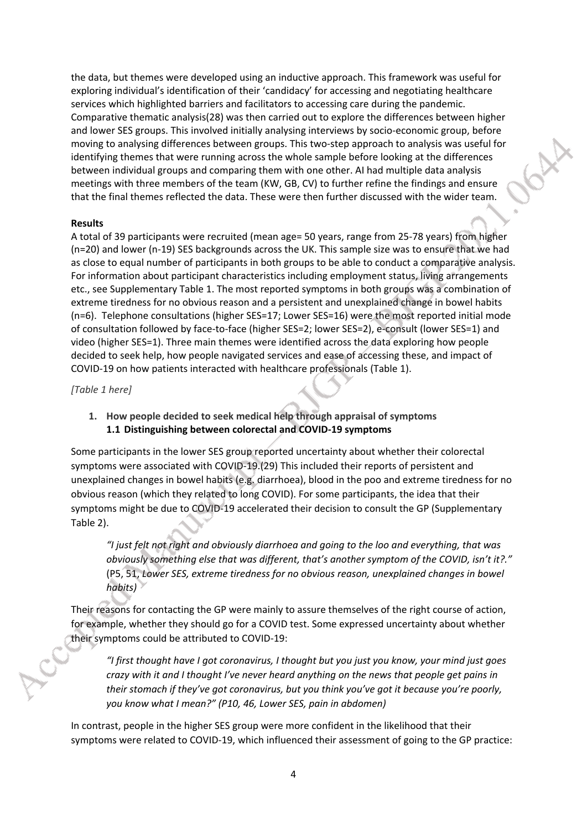the data, but themes were developed using an inductive approach. This framework was useful for exploring individual's identification of their 'candidacy' for accessing and negotiating healthcare services which highlighted barriers and facilitators to accessing care during the pandemic. Comparative thematic analysis(28) was then carried out to explore the differences between higher and lower SES groups. This involved initially analysing interviews by socio-economic group, before moving to analysing differences between groups. This two-step approach to analysis was useful for identifying themes that were running across the whole sample before looking at the differences between individual groups and comparing them with one other. AI had multiple data analysis meetings with three members of the team (KW, GB, CV) to further refine the findings and ensure that the final themes reflected the data. These were then further discussed with the wider team.

#### **Results**

A total of 39 participants were recruited (mean age= 50 years, range from 25-78 years) from higher (n=20) and lower (n-19) SES backgrounds across the UK. This sample size was to ensure that we had as close to equal number of participants in both groups to be able to conduct a comparative analysis. For information about participant characteristics including employment status, living arrangements etc., see Supplementary Table 1. The most reported symptoms in both groups was a combination of extreme tiredness for no obvious reason and a persistent and unexplained change in bowel habits (n=6). Telephone consultations (higher SES=17; Lower SES=16) were the most reported initial mode of consultation followed by face-to-face (higher SES=2; lower SES=2), e-consult (lower SES=1) and video (higher SES=1). Three main themes were identified across the data exploring how people decided to seek help, how people navigated services and ease of accessing these, and impact of COVID-19 on how patients interacted with healthcare professionals (Table 1).

*[Table 1 here]*

**1. How people decided to seek medical help through appraisal of symptoms 1.1 Distinguishing between colorectal and COVID-19 symptoms**

Some participants in the lower SES group reported uncertainty about whether their colorectal symptoms were associated with COVID-19.(29) This included their reports of persistent and unexplained changes in bowel habits (e.g. diarrhoea), blood in the poo and extreme tiredness for no obvious reason (which they related to long COVID). For some participants, the idea that their symptoms might be due to COVID-19 accelerated their decision to consult the GP (Supplementary Table 2).

*"I just felt not right and obviously diarrhoea and going to the loo and everything, that was obviously something else that was different, that's another symptom of the COVID, isn't it?."* (P5, 51, *Lower SES, extreme tiredness for no obvious reason, unexplained changes in bowel habits)*

Their reasons for contacting the GP were mainly to assure themselves of the right course of action, for example, whether they should go for a COVID test. Some expressed uncertainty about whether their symptoms could be attributed to COVID-19:

*"I first thought have I got coronavirus, I thought but you just you know, your mind just goes crazy with it and I thought I've never heard anything on the news that people get pains in their stomach if they've got coronavirus, but you think you've got it because you're poorly, you know what I mean?" (P10, 46, Lower SES, pain in abdomen)*

In contrast, people in the higher SES group were more confident in the likelihood that their symptoms were related to COVID-19, which influenced their assessment of going to the GP practice: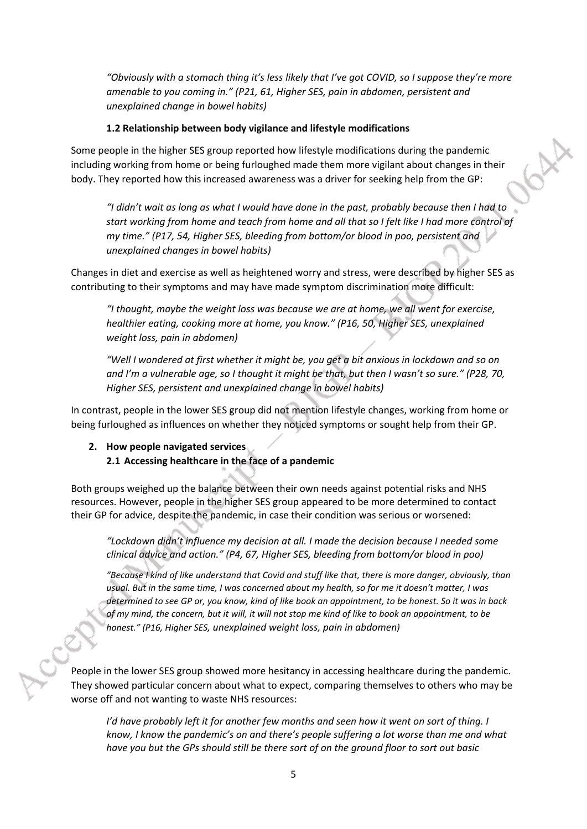*"Obviously with a stomach thing it's less likely that I've got COVID, so I suppose they're more amenable to you coming in." (P21, 61, Higher SES, pain in abdomen, persistent and unexplained change in bowel habits)*

#### **1.2 Relationship between body vigilance and lifestyle modifications**

Some people in the higher SES group reported how lifestyle modifications during the pandemic including working from home or being furloughed made them more vigilant about changes in their body. They reported how this increased awareness was a driver for seeking help from the GP:

*"I didn't wait as long as what I would have done in the past, probably because then I had to start working from home and teach from home and all that so I felt like I had more control of my time." (P17, 54, Higher SES, bleeding from bottom/or blood in poo, persistent and unexplained changes in bowel habits)*

Changes in diet and exercise as well as heightened worry and stress, were described by higher SES as contributing to their symptoms and may have made symptom discrimination more difficult:

*"I thought, maybe the weight loss was because we are at home, we all went for exercise, healthier eating, cooking more at home, you know." (P16, 50, Higher SES, unexplained weight loss, pain in abdomen)*

*"Well I wondered at first whether it might be, you get a bit anxious in lockdown and so on and I'm a vulnerable age, so I thought it might be that, but then I wasn't so sure." (P28, 70, Higher SES, persistent and unexplained change in bowel habits)*

In contrast, people in the lower SES group did not mention lifestyle changes, working from home or being furloughed as influences on whether they noticed symptoms or sought help from their GP.

#### **2. How people navigated services 2.1 Accessing healthcare in the face of a pandemic**

Both groups weighed up the balance between their own needs against potential risks and NHS resources. However, people in the higher SES group appeared to be more determined to contact their GP for advice, despite the pandemic, in case their condition was serious or worsened:

*"Lockdown didn't influence my decision at all. I made the decision because I needed some clinical advice and action." (P4, 67, Higher SES, bleeding from bottom/or blood in poo)* 

*"Because I kind of like understand that Covid and stuff like that, there is more danger, obviously, than usual. But in the same time, I was concerned about my health, so for me it doesn't matter, I was determined to see GP or, you know, kind of like book an appointment, to be honest. So it was in back of my mind, the concern, but it will, it will not stop me kind of like to book an appointment, to be honest." (P16, Higher SES, unexplained weight loss, pain in abdomen)*

People in the lower SES group showed more hesitancy in accessing healthcare during the pandemic. They showed particular concern about what to expect, comparing themselves to others who may be worse off and not wanting to waste NHS resources:

*I'd have probably left it for another few months and seen how it went on sort of thing. I know, I know the pandemic's on and there's people suffering a lot worse than me and what have you but the GPs should still be there sort of on the ground floor to sort out basic*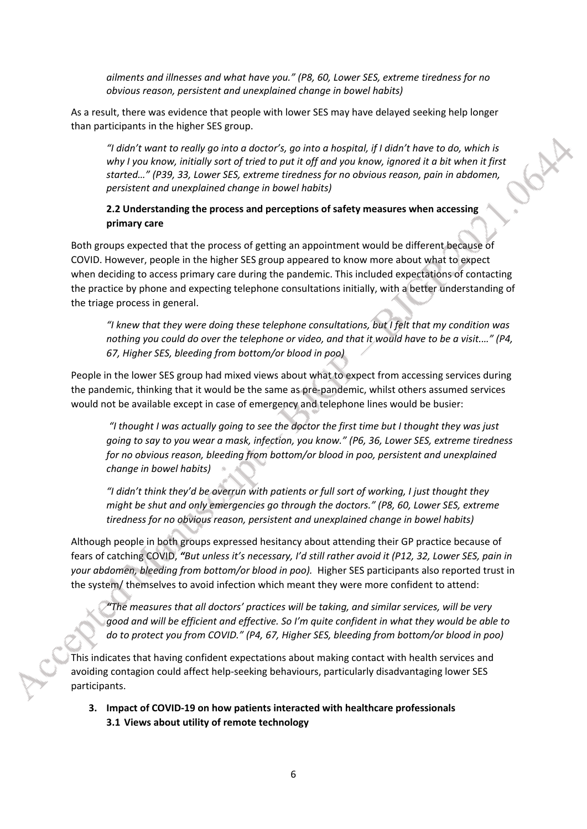*ailments and illnesses and what have you." (P8, 60, Lower SES, extreme tiredness for no obvious reason, persistent and unexplained change in bowel habits)*

As a result, there was evidence that people with lower SES may have delayed seeking help longer than participants in the higher SES group.

*"I didn't want to really go into a doctor's, go into a hospital, if I didn't have to do, which is why I you know, initially sort of tried to put it off and you know, ignored it a bit when it first started…" (P39, 33, Lower SES, extreme tiredness for no obvious reason, pain in abdomen, persistent and unexplained change in bowel habits)*

CX

#### **2.2 Understanding the process and perceptions of safety measures when accessing primary care**

Both groups expected that the process of getting an appointment would be different because of COVID. However, people in the higher SES group appeared to know more about what to expect when deciding to access primary care during the pandemic. This included expectations of contacting the practice by phone and expecting telephone consultations initially, with a better understanding of the triage process in general.

*"I knew that they were doing these telephone consultations, but I felt that my condition was nothing you could do over the telephone or video, and that it would have to be a visit.…" (P4, 67, Higher SES, bleeding from bottom/or blood in poo)*

People in the lower SES group had mixed views about what to expect from accessing services during the pandemic, thinking that it would be the same as pre-pandemic, whilst others assumed services would not be available except in case of emergency and telephone lines would be busier:

 *"I thought I was actually going to see the doctor the first time but I thought they was just going to say to you wear a mask, infection, you know." (P6, 36, Lower SES, extreme tiredness for no obvious reason, bleeding from bottom/or blood in poo, persistent and unexplained change in bowel habits)*

*"I didn't think they'd be overrun with patients or full sort of working, I just thought they might be shut and only emergencies go through the doctors." (P8, 60, Lower SES, extreme tiredness for no obvious reason, persistent and unexplained change in bowel habits)*

Although people in both groups expressed hesitancy about attending their GP practice because of fears of catching COVID, *"But unless it's necessary, I'd still rather avoid it (P12, 32, Lower SES, pain in your abdomen, bleeding from bottom/or blood in poo).* Higher SES participants also reported trust in the system/ themselves to avoid infection which meant they were more confident to attend:

*"The measures that all doctors' practices will be taking, and similar services, will be very good and will be efficient and effective. So I'm quite confident in what they would be able to do to protect you from COVID." (P4, 67, Higher SES, bleeding from bottom/or blood in poo)*

This indicates that having confident expectations about making contact with health services and avoiding contagion could affect help-seeking behaviours, particularly disadvantaging lower SES participants.

**3. Impact of COVID-19 on how patients interacted with healthcare professionals 3.1 Views about utility of remote technology**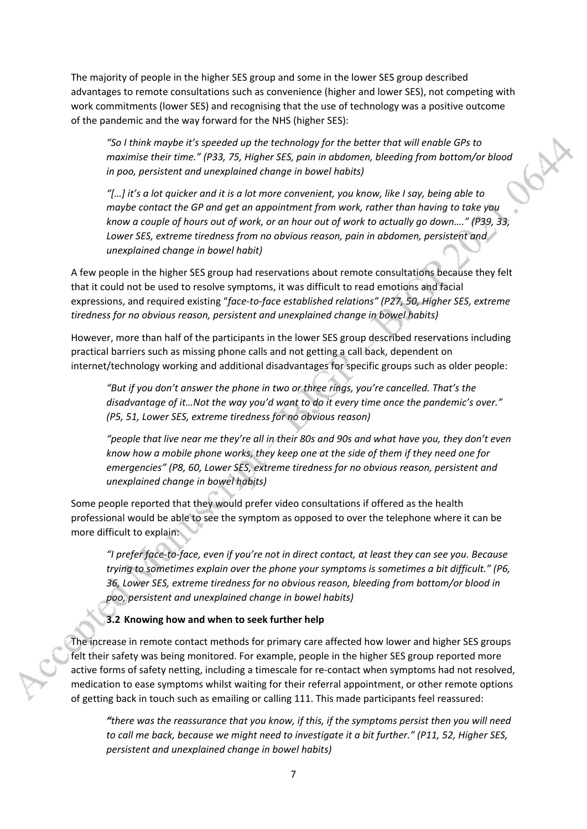The majority of people in the higher SES group and some in the lower SES group described advantages to remote consultations such as convenience (higher and lower SES), not competing with work commitments (lower SES) and recognising that the use of technology was a positive outcome of the pandemic and the way forward for the NHS (higher SES):

*"So I think maybe it's speeded up the technology for the better that will enable GPs to maximise their time." (P33, 75, Higher SES, pain in abdomen, bleeding from bottom/or blood in poo, persistent and unexplained change in bowel habits)*

*"[…] it's a lot quicker and it is a lot more convenient, you know, like I say, being able to maybe contact the GP and get an appointment from work, rather than having to take you know a couple of hours out of work, or an hour out of work to actually go down…." (P39, 33, Lower SES, extreme tiredness from no obvious reason, pain in abdomen, persistent and unexplained change in bowel habit)*

A few people in the higher SES group had reservations about remote consultations because they felt that it could not be used to resolve symptoms, it was difficult to read emotions and facial expressions, and required existing "*face-to-face established relations" (P27, 50, Higher SES, extreme tiredness for no obvious reason, persistent and unexplained change in bowel habits)*

However, more than half of the participants in the lower SES group described reservations including practical barriers such as missing phone calls and not getting a call back, dependent on internet/technology working and additional disadvantages for specific groups such as older people:

*"But if you don't answer the phone in two or three rings, you're cancelled. That's the disadvantage of it…Not the way you'd want to do it every time once the pandemic's over." (P5, 51, Lower SES, extreme tiredness for no obvious reason)*

*"people that live near me they're all in their 80s and 90s and what have you, they don't even know how a mobile phone works, they keep one at the side of them if they need one for emergencies" (P8, 60, Lower SES, extreme tiredness for no obvious reason, persistent and unexplained change in bowel habits)*

Some people reported that they would prefer video consultations if offered as the health professional would be able to see the symptom as opposed to over the telephone where it can be more difficult to explain:

*"I prefer face-to-face, even if you're not in direct contact, at least they can see you. Because trying to sometimes explain over the phone your symptoms is sometimes a bit difficult." (P6, 36, Lower SES, extreme tiredness for no obvious reason, bleeding from bottom/or blood in poo, persistent and unexplained change in bowel habits)*

**3.2 Knowing how and when to seek further help**

The increase in remote contact methods for primary care affected how lower and higher SES groups felt their safety was being monitored. For example, people in the higher SES group reported more active forms of safety netting, including a timescale for re-contact when symptoms had not resolved, medication to ease symptoms whilst waiting for their referral appointment, or other remote options of getting back in touch such as emailing or calling 111. This made participants feel reassured:

*"there was the reassurance that you know, if this, if the symptoms persist then you will need to call me back, because we might need to investigate it a bit further." (P11, 52, Higher SES, persistent and unexplained change in bowel habits)*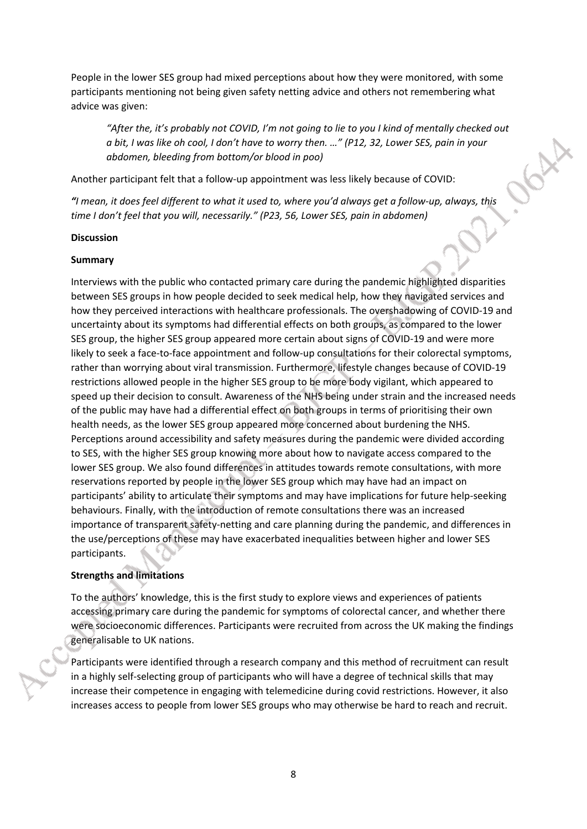People in the lower SES group had mixed perceptions about how they were monitored, with some participants mentioning not being given safety netting advice and others not remembering what advice was given:

*"After the, it's probably not COVID, I'm not going to lie to you I kind of mentally checked out a bit, I was like oh cool, I don't have to worry then. …" (P12, 32, Lower SES, pain in your abdomen, bleeding from bottom/or blood in poo)*

67.7

Another participant felt that a follow-up appointment was less likely because of COVID:

*"I mean, it does feel different to what it used to, where you'd always get a follow-up, always, this time I don't feel that you will, necessarily." (P23, 56, Lower SES, pain in abdomen)* 

#### **Discussion**

#### **Summary**

Interviews with the public who contacted primary care during the pandemic highlighted disparities between SES groups in how people decided to seek medical help, how they navigated services and how they perceived interactions with healthcare professionals. The overshadowing of COVID-19 and uncertainty about its symptoms had differential effects on both groups, as compared to the lower SES group, the higher SES group appeared more certain about signs of COVID-19 and were more likely to seek a face-to-face appointment and follow-up consultations for their colorectal symptoms, rather than worrying about viral transmission. Furthermore, lifestyle changes because of COVID-19 restrictions allowed people in the higher SES group to be more body vigilant, which appeared to speed up their decision to consult. Awareness of the NHS being under strain and the increased needs of the public may have had a differential effect on both groups in terms of prioritising their own health needs, as the lower SES group appeared more concerned about burdening the NHS. Perceptions around accessibility and safety measures during the pandemic were divided according to SES, with the higher SES group knowing more about how to navigate access compared to the lower SES group. We also found differences in attitudes towards remote consultations, with more reservations reported by people in the lower SES group which may have had an impact on participants' ability to articulate their symptoms and may have implications for future help-seeking behaviours. Finally, with the introduction of remote consultations there was an increased importance of transparent safety-netting and care planning during the pandemic, and differences in the use/perceptions of these may have exacerbated inequalities between higher and lower SES participants.

#### **Strengths and limitations**

To the authors' knowledge, this is the first study to explore views and experiences of patients accessing primary care during the pandemic for symptoms of colorectal cancer, and whether there were socioeconomic differences. Participants were recruited from across the UK making the findings generalisable to UK nations.

Participants were identified through a research company and this method of recruitment can result in a highly self-selecting group of participants who will have a degree of technical skills that may increase their competence in engaging with telemedicine during covid restrictions. However, it also increases access to people from lower SES groups who may otherwise be hard to reach and recruit.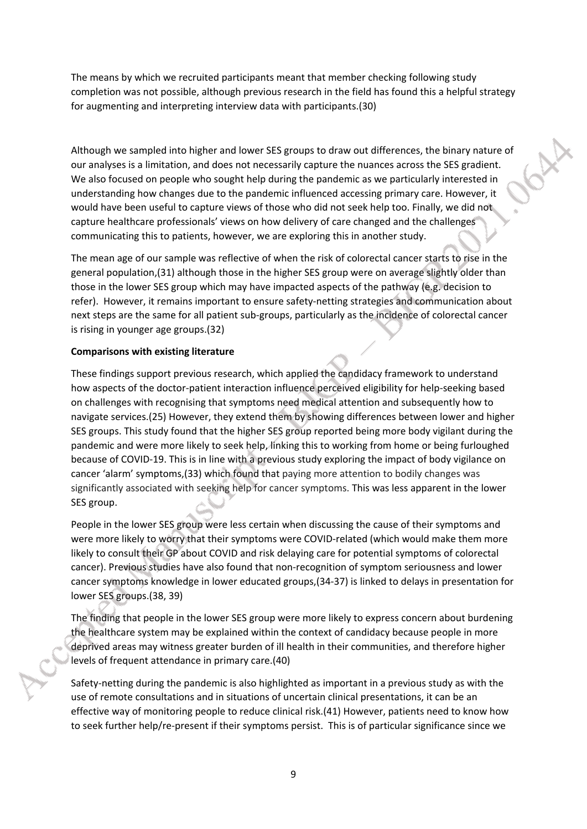The means by which we recruited participants meant that member checking following study completion was not possible, although previous research in the field has found this a helpful strategy for augmenting and interpreting interview data with participants.(30)

Although we sampled into higher and lower SES groups to draw out differences, the binary nature of our analyses is a limitation, and does not necessarily capture the nuances across the SES gradient. We also focused on people who sought help during the pandemic as we particularly interested in understanding how changes due to the pandemic influenced accessing primary care. However, it would have been useful to capture views of those who did not seek help too. Finally, we did not capture healthcare professionals' views on how delivery of care changed and the challenges communicating this to patients, however, we are exploring this in another study.

The mean age of our sample was reflective of when the risk of colorectal cancer starts to rise in the general population,(31) although those in the higher SES group were on average slightly older than those in the lower SES group which may have impacted aspects of the pathway (e.g. decision to refer). However, it remains important to ensure safety-netting strategies and communication about next steps are the same for all patient sub-groups, particularly as the incidence of colorectal cancer is rising in younger age groups.(32)

#### **Comparisons with existing literature**

These findings support previous research, which applied the candidacy framework to understand how aspects of the doctor-patient interaction influence perceived eligibility for help-seeking based on challenges with recognising that symptoms need medical attention and subsequently how to navigate services.(25) However, they extend them by showing differences between lower and higher SES groups. This study found that the higher SES group reported being more body vigilant during the pandemic and were more likely to seek help, linking this to working from home or being furloughed because of COVID-19. This is in line with a previous study exploring the impact of body vigilance on cancer 'alarm' symptoms,(33) which found that paying more attention to bodily changes was significantly associated with seeking help for cancer symptoms. This was less apparent in the lower SES group.

People in the lower SES group were less certain when discussing the cause of their symptoms and were more likely to worry that their symptoms were COVID-related (which would make them more likely to consult their GP about COVID and risk delaying care for potential symptoms of colorectal cancer). Previous studies have also found that non-recognition of symptom seriousness and lower cancer symptoms knowledge in lower educated groups,(34-37) is linked to delays in presentation for lower SES groups.(38, 39)

The finding that people in the lower SES group were more likely to express concern about burdening the healthcare system may be explained within the context of candidacy because people in more deprived areas may witness greater burden of ill health in their communities, and therefore higher levels of frequent attendance in primary care.(40)

Safety-netting during the pandemic is also highlighted as important in a previous study as with the use of remote consultations and in situations of uncertain clinical presentations, it can be an effective way of monitoring people to reduce clinical risk.(41) However, patients need to know how to seek further help/re-present if their symptoms persist. This is of particular significance since we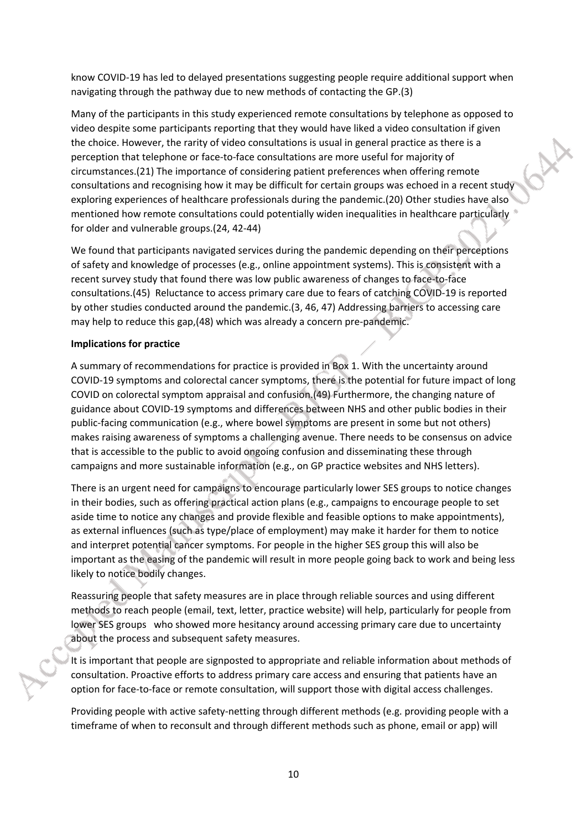know COVID-19 has led to delayed presentations suggesting people require additional support when navigating through the pathway due to new methods of contacting the GP.(3)

Many of the participants in this study experienced remote consultations by telephone as opposed to video despite some participants reporting that they would have liked a video consultation if given the choice. However, the rarity of video consultations is usual in general practice as there is a perception that telephone or face-to-face consultations are more useful for majority of circumstances.(21) The importance of considering patient preferences when offering remote consultations and recognising how it may be difficult for certain groups was echoed in a recent study exploring experiences of healthcare professionals during the pandemic.(20) Other studies have also mentioned how remote consultations could potentially widen inequalities in healthcare particularly for older and vulnerable groups.(24, 42-44)

We found that participants navigated services during the pandemic depending on their perceptions of safety and knowledge of processes (e.g., online appointment systems). This is consistent with a recent survey study that found there was low public awareness of changes to face-to-face consultations.(45) Reluctance to access primary care due to fears of catching COVID-19 is reported by other studies conducted around the pandemic.(3, 46, 47) Addressing barriers to accessing care may help to reduce this gap,(48) which was already a concern pre-pandemic.

#### **Implications for practice**

A summary of recommendations for practice is provided in Box 1. With the uncertainty around COVID-19 symptoms and colorectal cancer symptoms, there is the potential for future impact of long COVID on colorectal symptom appraisal and confusion.(49) Furthermore, the changing nature of guidance about COVID-19 symptoms and differences between NHS and other public bodies in their public-facing communication (e.g., where bowel symptoms are present in some but not others) makes raising awareness of symptoms a challenging avenue. There needs to be consensus on advice that is accessible to the public to avoid ongoing confusion and disseminating these through campaigns and more sustainable information (e.g., on GP practice websites and NHS letters).

There is an urgent need for campaigns to encourage particularly lower SES groups to notice changes in their bodies, such as offering practical action plans (e.g., campaigns to encourage people to set aside time to notice any changes and provide flexible and feasible options to make appointments), as external influences (such as type/place of employment) may make it harder for them to notice and interpret potential cancer symptoms. For people in the higher SES group this will also be important as the easing of the pandemic will result in more people going back to work and being less likely to notice bodily changes.

Reassuring people that safety measures are in place through reliable sources and using different methods to reach people (email, text, letter, practice website) will help, particularly for people from lower SES groups who showed more hesitancy around accessing primary care due to uncertainty about the process and subsequent safety measures.

It is important that people are signposted to appropriate and reliable information about methods of consultation. Proactive efforts to address primary care access and ensuring that patients have an option for face-to-face or remote consultation, will support those with digital access challenges.

Providing people with active safety-netting through different methods (e.g. providing people with a timeframe of when to reconsult and through different methods such as phone, email or app) will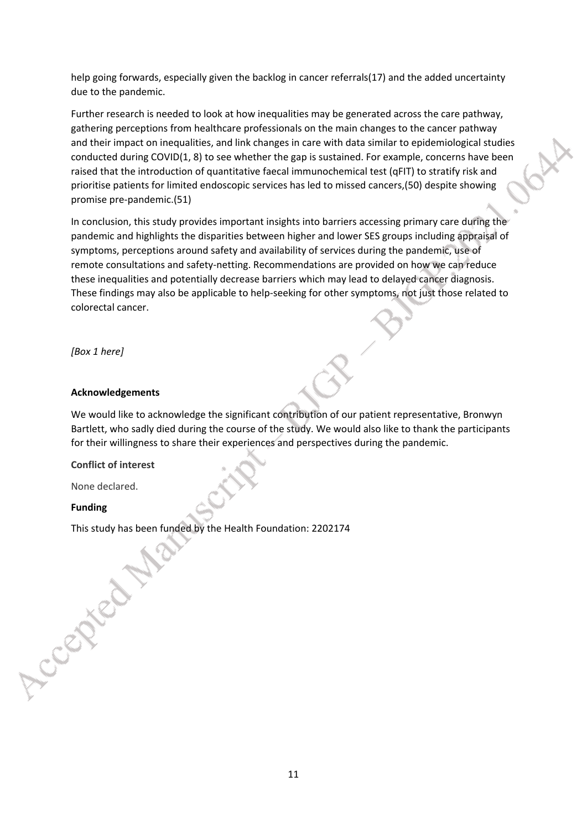help going forwards, especially given the backlog in cancer referrals(17) and the added uncertainty due to the pandemic.

Further research is needed to look at how inequalities may be generated across the care pathway, gathering perceptions from healthcare professionals on the main changes to the cancer pathway and their impact on inequalities, and link changes in care with data similar to epidemiological studies conducted during COVID(1, 8) to see whether the gap is sustained. For example, concerns have been raised that the introduction of quantitative faecal immunochemical test (qFIT) to stratify risk and prioritise patients for limited endoscopic services has led to missed cancers,(50) despite showing promise pre-pandemic.(51)

In conclusion, this study provides important insights into barriers accessing primary care during the pandemic and highlights the disparities between higher and lower SES groups including appraisal of symptoms, perceptions around safety and availability of services during the pandemic, use of remote consultations and safety-netting. Recommendations are provided on how we can reduce these inequalities and potentially decrease barriers which may lead to delayed cancer diagnosis. These findings may also be applicable to help-seeking for other symptoms, not just those related to colorectal cancer.

*[Box 1 here]*

#### **Acknowledgements**

We would like to acknowledge the significant contribution of our patient representative, Bronwyn Bartlett, who sadly died during the course of the study. We would also like to thank the participants for their willingness to share their experiences and perspectives during the pandemic.

**Conflict of interest**

None declared.

#### **Funding**

Accepted.

This study has been funded by the Health Foundation: 2202174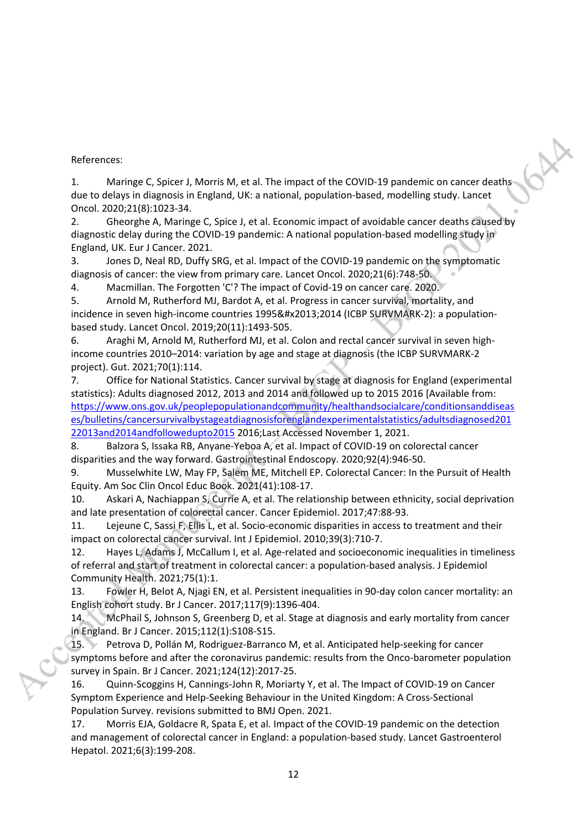References:

1. Maringe C, Spicer J, Morris M, et al. The impact of the COVID-19 pandemic on cancer deaths due to delays in diagnosis in England, UK: a national, population-based, modelling study. Lancet Oncol. 2020;21(8):1023-34.

2. Gheorghe A, Maringe C, Spice J, et al. Economic impact of avoidable cancer deaths caused by diagnostic delay during the COVID-19 pandemic: A national population-based modelling study in England, UK. Eur J Cancer. 2021.

3. Jones D, Neal RD, Duffy SRG, et al. Impact of the COVID-19 pandemic on the symptomatic diagnosis of cancer: the view from primary care. Lancet Oncol. 2020;21(6):748-50.

4. Macmillan. The Forgotten 'C'? The impact of Covid-19 on cancer care. 2020.

5. Arnold M, Rutherford MJ, Bardot A, et al. Progress in cancer survival, mortality, and incidence in seven high-income countries 1995–2014 (ICBP SURVMARK-2): a populationbased study. Lancet Oncol. 2019;20(11):1493-505.

6. Araghi M, Arnold M, Rutherford MJ, et al. Colon and rectal cancer survival in seven highincome countries 2010–2014: variation by age and stage at diagnosis (the ICBP SURVMARK-2 project). Gut. 2021;70(1):114.

7. Office for National Statistics. Cancer survival by stage at diagnosis for England (experimental statistics): Adults diagnosed 2012, 2013 and 2014 and followed up to 2015 2016 [Available from: [https://www.ons.gov.uk/peoplepopulationandcommunity/healthandsocialcare/conditionsanddiseas](https://www.ons.gov.uk/peoplepopulationandcommunity/healthandsocialcare/conditionsanddiseases/bulletins/cancersurvivalbystageatdiagnosisforenglandexperimentalstatistics/adultsdiagnosed20122013and2014andfollowedupto2015) [es/bulletins/cancersurvivalbystageatdiagnosisforenglandexperimentalstatistics/adultsdiagnosed201](https://www.ons.gov.uk/peoplepopulationandcommunity/healthandsocialcare/conditionsanddiseases/bulletins/cancersurvivalbystageatdiagnosisforenglandexperimentalstatistics/adultsdiagnosed20122013and2014andfollowedupto2015) [22013and2014andfollowedupto2015](https://www.ons.gov.uk/peoplepopulationandcommunity/healthandsocialcare/conditionsanddiseases/bulletins/cancersurvivalbystageatdiagnosisforenglandexperimentalstatistics/adultsdiagnosed20122013and2014andfollowedupto2015) 2016;Last Accessed November 1, 2021.

8. Balzora S, Issaka RB, Anyane-Yeboa A, et al. Impact of COVID-19 on colorectal cancer disparities and the way forward. Gastrointestinal Endoscopy. 2020;92(4):946-50.

9. Musselwhite LW, May FP, Salem ME, Mitchell EP. Colorectal Cancer: In the Pursuit of Health Equity. Am Soc Clin Oncol Educ Book. 2021(41):108-17.

10. Askari A, Nachiappan S, Currie A, et al. The relationship between ethnicity, social deprivation and late presentation of colorectal cancer. Cancer Epidemiol. 2017;47:88-93.

11. Lejeune C, Sassi F, Ellis L, et al. Socio-economic disparities in access to treatment and their impact on colorectal cancer survival. Int J Epidemiol. 2010;39(3):710-7.

12. Hayes L, Adams J, McCallum I, et al. Age-related and socioeconomic inequalities in timeliness of referral and start of treatment in colorectal cancer: a population-based analysis. J Epidemiol Community Health. 2021;75(1):1.

13. Fowler H, Belot A, Njagi EN, et al. Persistent inequalities in 90-day colon cancer mortality: an English cohort study. Br J Cancer. 2017;117(9):1396-404.

14. McPhail S, Johnson S, Greenberg D, et al. Stage at diagnosis and early mortality from cancer in England. Br J Cancer. 2015;112(1):S108-S15.

15. Petrova D, Pollán M, Rodriguez-Barranco M, et al. Anticipated help-seeking for cancer symptoms before and after the coronavirus pandemic: results from the Onco-barometer population survey in Spain. Br J Cancer. 2021;124(12):2017-25.

16. Quinn-Scoggins H, Cannings-John R, Moriarty Y, et al. The Impact of COVID-19 on Cancer Symptom Experience and Help-Seeking Behaviour in the United Kingdom: A Cross-Sectional Population Survey. revisions submitted to BMJ Open. 2021.

17. Morris EJA, Goldacre R, Spata E, et al. Impact of the COVID-19 pandemic on the detection and management of colorectal cancer in England: a population-based study. Lancet Gastroenterol Hepatol. 2021;6(3):199-208.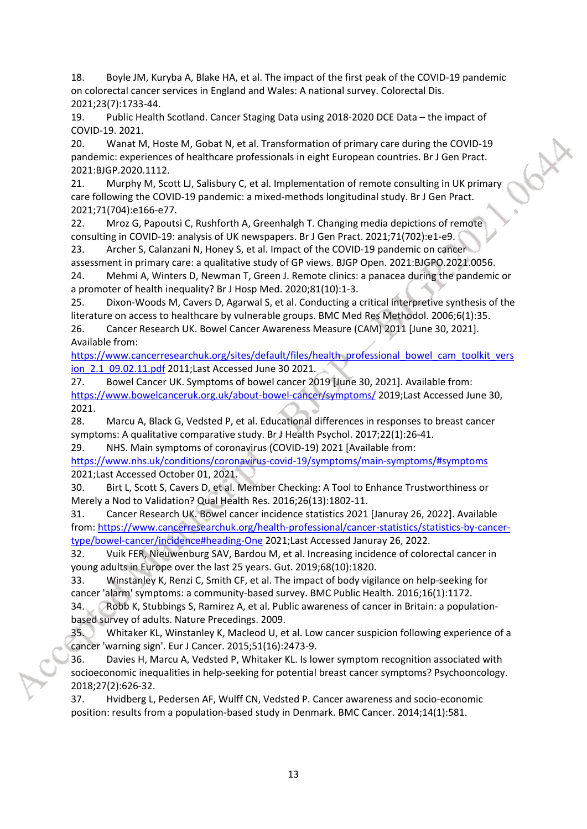18. Boyle JM, Kuryba A, Blake HA, et al. The impact of the first peak of the COVID-19 pandemic on colorectal cancer services in England and Wales: A national survey. Colorectal Dis. 2021;23(7):1733-44.

19. Public Health Scotland. Cancer Staging Data using 2018-2020 DCE Data – the impact of COVID-19. 2021.

20. Wanat M, Hoste M, Gobat N, et al. Transformation of primary care during the COVID-19 pandemic: experiences of healthcare professionals in eight European countries. Br J Gen Pract. 2021:BJGP.2020.1112.

672

21. Murphy M, Scott LJ, Salisbury C, et al. Implementation of remote consulting in UK primary care following the COVID-19 pandemic: a mixed-methods longitudinal study. Br J Gen Pract. 2021;71(704):e166-e77.

22. Mroz G, Papoutsi C, Rushforth A, Greenhalgh T. Changing media depictions of remote consulting in COVID-19: analysis of UK newspapers. Br J Gen Pract. 2021;71(702):e1-e9.

23. Archer S, Calanzani N, Honey S, et al. Impact of the COVID-19 pandemic on cancer assessment in primary care: a qualitative study of GP views. BJGP Open. 2021:BJGPO.2021.0056. 24. Mehmi A, Winters D, Newman T, Green J. Remote clinics: a panacea during the pandemic or

a promoter of health inequality? Br J Hosp Med. 2020;81(10):1-3.

25. Dixon-Woods M, Cavers D, Agarwal S, et al. Conducting a critical interpretive synthesis of the literature on access to healthcare by vulnerable groups. BMC Med Res Methodol. 2006;6(1):35. 26. Cancer Research UK. Bowel Cancer Awareness Measure (CAM) 2011 [June 30, 2021]. Available from:

[https://www.cancerresearchuk.org/sites/default/files/health\\_professional\\_bowel\\_cam\\_toolkit\\_vers](https://www.cancerresearchuk.org/sites/default/files/health_professional_bowel_cam_toolkit_version_2.1_09.02.11.pdf) [ion\\_2.1\\_09.02.11.pdf](https://www.cancerresearchuk.org/sites/default/files/health_professional_bowel_cam_toolkit_version_2.1_09.02.11.pdf) 2011;Last Accessed June 30 2021.

27. Bowel Cancer UK. Symptoms of bowel cancer 2019 [June 30, 2021]. Available from: <https://www.bowelcanceruk.org.uk/about-bowel-cancer/symptoms/> 2019;Last Accessed June 30, 2021.

28. Marcu A, Black G, Vedsted P, et al. Educational differences in responses to breast cancer symptoms: A qualitative comparative study. Br J Health Psychol. 2017;22(1):26-41.

29. NHS. Main symptoms of coronavirus (COVID-19) 2021 [Available from:

<https://www.nhs.uk/conditions/coronavirus-covid-19/symptoms/main-symptoms/#symptoms> 2021;Last Accessed October 01, 2021.

30. Birt L, Scott S, Cavers D, et al. Member Checking: A Tool to Enhance Trustworthiness or Merely a Nod to Validation? Qual Health Res. 2016;26(13):1802-11.

31. Cancer Research UK. Bowel cancer incidence statistics 2021 [Januray 26, 2022]. Available from: [https://www.cancerresearchuk.org/health-professional/cancer-statistics/statistics-by-cancer](https://www.cancerresearchuk.org/health-professional/cancer-statistics/statistics-by-cancer-type/bowel-cancer/incidence#heading-One)[type/bowel-cancer/incidence#heading-One](https://www.cancerresearchuk.org/health-professional/cancer-statistics/statistics-by-cancer-type/bowel-cancer/incidence#heading-One) 2021;Last Accessed Januray 26, 2022.

32. Vuik FER, Nieuwenburg SAV, Bardou M, et al. Increasing incidence of colorectal cancer in young adults in Europe over the last 25 years. Gut. 2019;68(10):1820.

33. Winstanley K, Renzi C, Smith CF, et al. The impact of body vigilance on help-seeking for cancer 'alarm' symptoms: a community-based survey. BMC Public Health. 2016;16(1):1172. 34. Robb K, Stubbings S, Ramirez A, et al. Public awareness of cancer in Britain: a populationbased survey of adults. Nature Precedings. 2009.

35. Whitaker KL, Winstanley K, Macleod U, et al. Low cancer suspicion following experience of a cancer 'warning sign'. Eur J Cancer. 2015;51(16):2473-9.

36. Davies H, Marcu A, Vedsted P, Whitaker KL. Is lower symptom recognition associated with socioeconomic inequalities in help-seeking for potential breast cancer symptoms? Psychooncology. 2018;27(2):626-32.

37. Hvidberg L, Pedersen AF, Wulff CN, Vedsted P. Cancer awareness and socio-economic position: results from a population-based study in Denmark. BMC Cancer. 2014;14(1):581.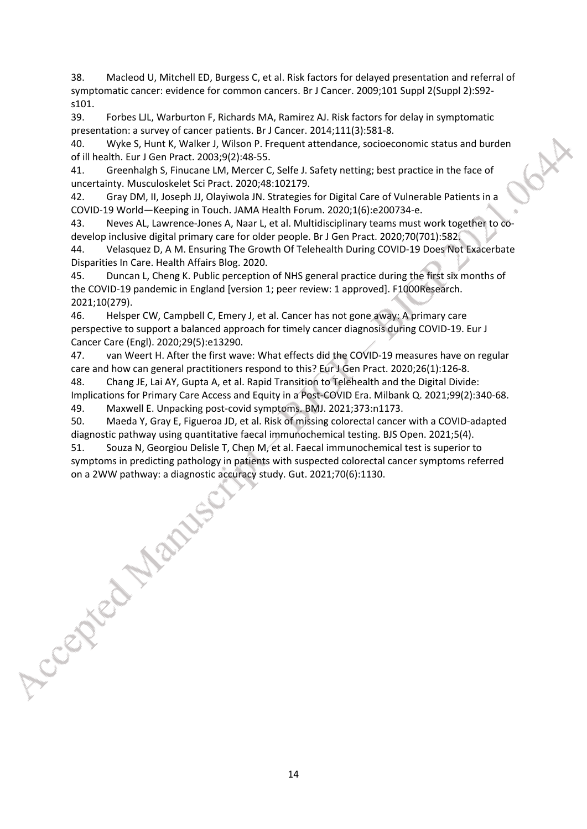38. Macleod U, Mitchell ED, Burgess C, et al. Risk factors for delayed presentation and referral of symptomatic cancer: evidence for common cancers. Br J Cancer. 2009;101 Suppl 2(Suppl 2):S92 s101.

39. Forbes LJL, Warburton F, Richards MA, Ramirez AJ. Risk factors for delay in symptomatic presentation: a survey of cancer patients. Br J Cancer. 2014;111(3):581-8.

40. Wyke S, Hunt K, Walker J, Wilson P. Frequent attendance, socioeconomic status and burden of ill health. Eur J Gen Pract. 2003;9(2):48-55.

41. Greenhalgh S, Finucane LM, Mercer C, Selfe J. Safety netting; best practice in the face of uncertainty. Musculoskelet Sci Pract. 2020;48:102179.

42. Gray DM, II, Joseph JJ, Olayiwola JN. Strategies for Digital Care of Vulnerable Patients in a COVID-19 World—Keeping in Touch. JAMA Health Forum. 2020;1(6):e200734-e.

43. Neves AL, Lawrence-Jones A, Naar L, et al. Multidisciplinary teams must work together to codevelop inclusive digital primary care for older people. Br J Gen Pract. 2020;70(701):582.

44. Velasquez D, A M. Ensuring The Growth Of Telehealth During COVID-19 Does Not Exacerbate Disparities In Care. Health Affairs Blog. 2020.

45. Duncan L, Cheng K. Public perception of NHS general practice during the first six months of the COVID-19 pandemic in England [version 1; peer review: 1 approved]. F1000Research. 2021;10(279).

46. Helsper CW, Campbell C, Emery J, et al. Cancer has not gone away: A primary care perspective to support a balanced approach for timely cancer diagnosis during COVID-19. Eur J Cancer Care (Engl). 2020;29(5):e13290.

47. van Weert H. After the first wave: What effects did the COVID-19 measures have on regular care and how can general practitioners respond to this? Eur J Gen Pract. 2020;26(1):126-8.

48. Chang JE, Lai AY, Gupta A, et al. Rapid Transition to Telehealth and the Digital Divide: Implications for Primary Care Access and Equity in a Post-COVID Era. Milbank Q. 2021;99(2):340-68. 49. Maxwell E. Unpacking post-covid symptoms. BMJ. 2021;373:n1173.

50. Maeda Y, Gray E, Figueroa JD, et al. Risk of missing colorectal cancer with a COVID-adapted diagnostic pathway using quantitative faecal immunochemical testing. BJS Open. 2021;5(4).

51. Souza N, Georgiou Delisle T, Chen M, ét al. Faecal immunochemical test is superior to symptoms in predicting pathology in patients with suspected colorectal cancer symptoms refer on a 2WW pathway: a diagnostic accuracy symptoms in predicting pathology in patients with suspected colorectal cancer symptoms referred on a 2WW pathway: a diagnostic accuracy study. Gut. 2021;70(6):1130.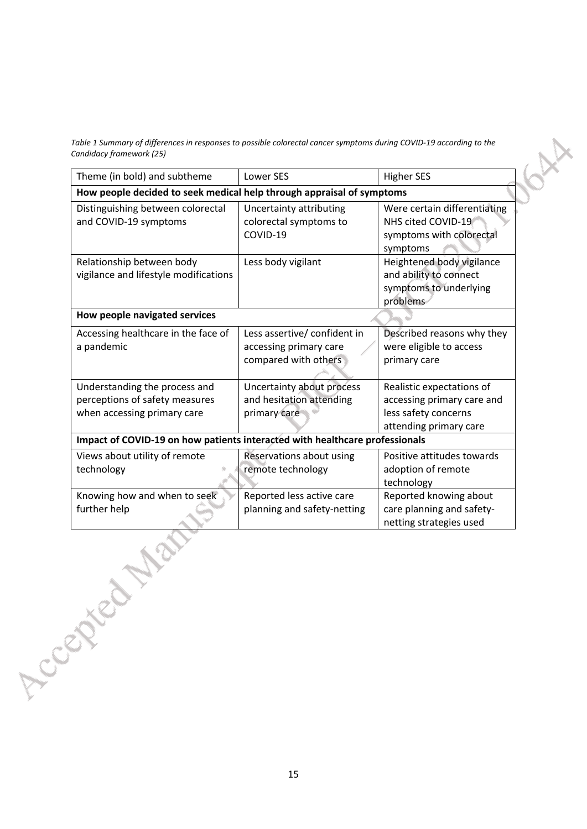*Table 1 Summary of differences in responses to possible colorectal cancer symptoms during COVID-19 according to the Candidacy framework (25)*

| Theme (in bold) and subtheme                                                                   | <b>Lower SES</b>                                                               | <b>Higher SES</b>                                                                                         |
|------------------------------------------------------------------------------------------------|--------------------------------------------------------------------------------|-----------------------------------------------------------------------------------------------------------|
| How people decided to seek medical help through appraisal of symptoms                          |                                                                                |                                                                                                           |
| Distinguishing between colorectal<br>and COVID-19 symptoms                                     | <b>Uncertainty attributing</b><br>colorectal symptoms to<br>COVID-19           | Were certain differentiating<br>NHS cited COVID-19<br>symptoms with colorectal<br>symptoms                |
| Relationship between body<br>vigilance and lifestyle modifications                             | Less body vigilant                                                             | Heightened body vigilance<br>and ability to connect<br>symptoms to underlying<br>problems                 |
| How people navigated services                                                                  |                                                                                |                                                                                                           |
| Accessing healthcare in the face of<br>a pandemic                                              | Less assertive/ confident in<br>accessing primary care<br>compared with others | Described reasons why they<br>were eligible to access<br>primary care                                     |
| Understanding the process and<br>perceptions of safety measures<br>when accessing primary care | Uncertainty about process<br>and hesitation attending<br>primary care          | Realistic expectations of<br>accessing primary care and<br>less safety concerns<br>attending primary care |
| Impact of COVID-19 on how patients interacted with healthcare professionals                    |                                                                                |                                                                                                           |
| Views about utility of remote<br>technology                                                    | Reservations about using<br>remote technology                                  | Positive attitudes towards<br>adoption of remote<br>technology                                            |
| Knowing how and when to seek<br>further help                                                   | Reported less active care<br>planning and safety-netting                       | Reported knowing about<br>care planning and safety-<br>netting strategies used                            |